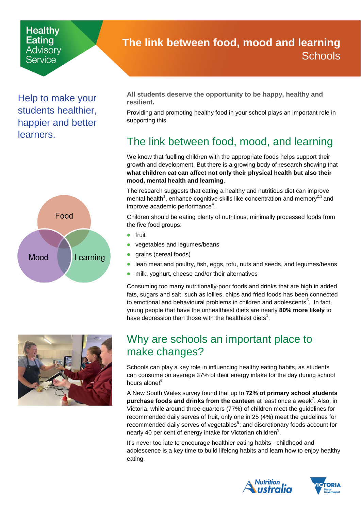#### **Healthy Eating** Advisorv Service

Help to make your students healthier, happier and better learners.





## <span id="page-0-0"></span>**The link between food, mood and learning Schools**

**All students deserve the opportunity to be happy, healthy and resilient.** 

Providing and promoting healthy food in your school plays an important role in supporting this.

# The link between food, mood, and learning

We know that fuelling children with the appropriate foods helps support their growth and development. But there is a growing body of research showing that **what children eat can affect not only their physical health but also their mood, mental health and learning**.

The research suggests that eating a healthy and nutritious diet can improve mental health<sup>1</sup>, enhance cognitive skills like concentration and memory<sup>2,3</sup> and improve academic performance<sup>4</sup>.

Children should be eating plenty of nutritious, minimally processed foods from the five food groups:

- fruit
- vegetables and legumes/beans
- grains (cereal foods)
- lean meat and poultry, fish, eggs, tofu, nuts and seeds, and legumes/beans
- milk, yoghurt, cheese and/or their alternatives

Consuming too many nutritionally-poor foods and drinks that are high in added fats, sugars and salt, such as lollies, chips and fried foods has been connected to emotional and behavioural problems in children and adolescents<sup>5</sup>. In fact, young people that have the unhealthiest diets are nearly **80% more likely** to have depression than those with the healthiest diets<sup>1</sup>.

## Why are schools an important place to make changes?

Schools can play a key role in influencing healthy eating habits, as students can consume on average 37% of their energy intake for the day during school hours alone!<sup>6</sup>

A New South Wales survey found that up to **72% of primary school students** purchase foods and drinks from the canteen at least once a week<sup>7</sup>. Also, in Victoria, while around three-quarters (77%) of children meet the guidelines for recommended daily serves of fruit, only one in 25 (4%) meet the guidelines for recommended daily serves of vegetables ${}^{8}$ ; and discretionary foods account for nearly 40 per cent of energy intake for Victorian children<sup>9</sup>.

It's never too late to encourage healthier eating habits - childhood and adolescence is a key time to build lifelong habits and learn how to enjoy healthy eating.